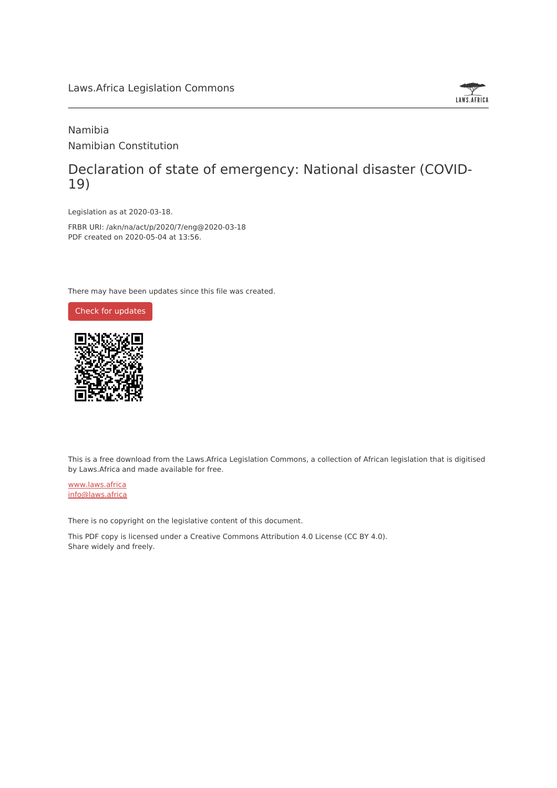#### Laws.Africa Legislation Commons



### Namibia Namibian Constitution

# Declaration of state of emergency: National disaster (COVID-19)

Legislation as at 2020-03-18.

FRBR URI: /akn/na/act/p/2020/7/eng@2020-03-18 PDF created on 2020-05-04 at 13:56.

There may have been updates since this file was created.





This is a free download from the Laws.Africa Legislation Commons, a collection of African legislation that is digitised by Laws.Africa and made available for free.

[www.laws.africa](https://www.laws.africa) [info@laws.africa](mailto:info@laws.africa)

There is no copyright on the legislative content of this document.

This PDF copy is licensed under a Creative Commons Attribution 4.0 License (CC BY 4.0). Share widely and freely.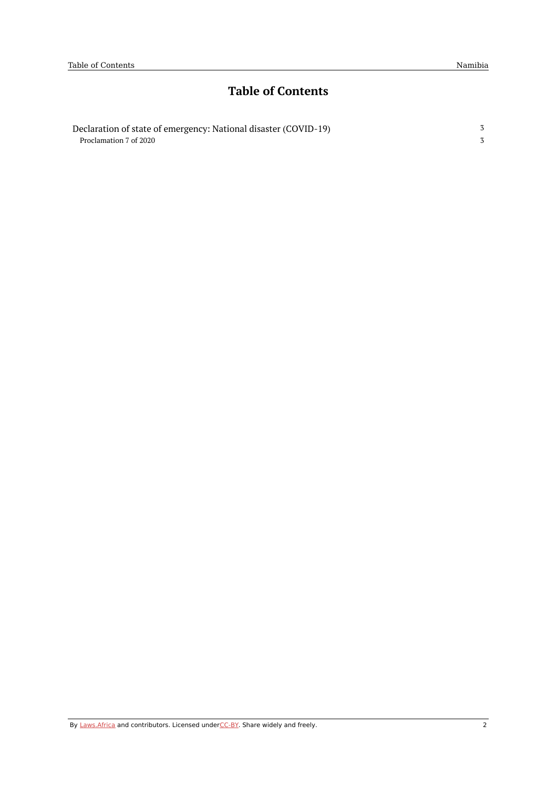3 3

# **Table of Contents**

| Declaration of state of emergency: National disaster (COVID-19) |  |
|-----------------------------------------------------------------|--|
| Proclamation 7 of 2020                                          |  |